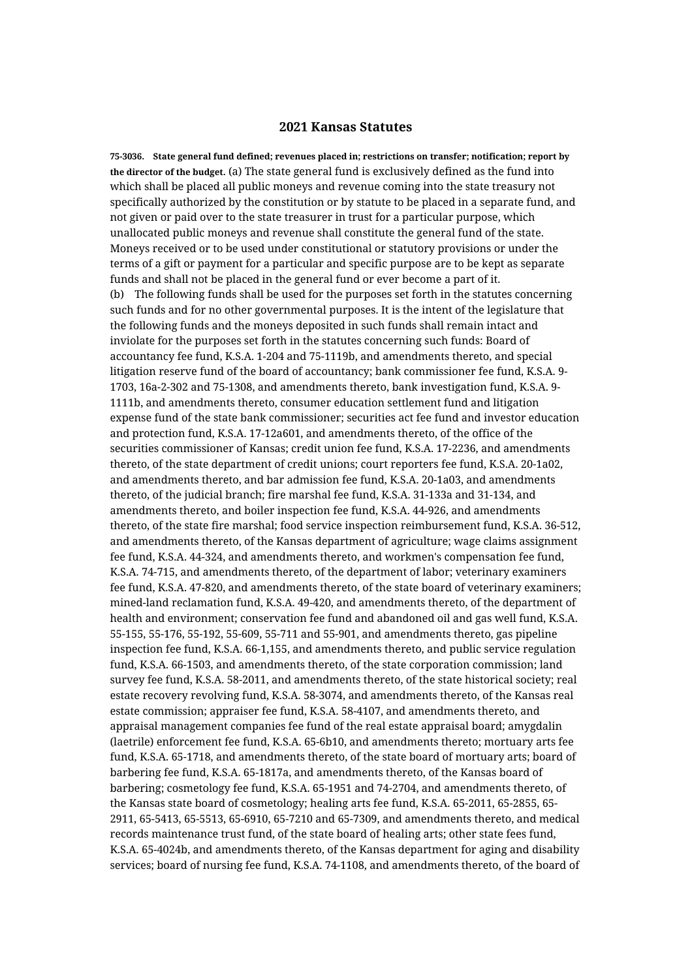## **2021 Kansas Statutes**

**75-3036. State general fund defined; revenues placed in; restrictions on transfer; notification; report by the director of the budget.** (a) The state general fund is exclusively defined as the fund into which shall be placed all public moneys and revenue coming into the state treasury not specifically authorized by the constitution or by statute to be placed in a separate fund, and not given or paid over to the state treasurer in trust for a particular purpose, which unallocated public moneys and revenue shall constitute the general fund of the state. Moneys received or to be used under constitutional or statutory provisions or under the terms of a gift or payment for a particular and specific purpose are to be kept as separate funds and shall not be placed in the general fund or ever become a part of it. (b) The following funds shall be used for the purposes set forth in the statutes concerning such funds and for no other governmental purposes. It is the intent of the legislature that the following funds and the moneys deposited in such funds shall remain intact and inviolate for the purposes set forth in the statutes concerning such funds: Board of accountancy fee fund, K.S.A. 1-204 and 75-1119b, and amendments thereto, and special litigation reserve fund of the board of accountancy; bank commissioner fee fund, K.S.A. 9- 1703, 16a-2-302 and 75-1308, and amendments thereto, bank investigation fund, K.S.A. 9- 1111b, and amendments thereto, consumer education settlement fund and litigation expense fund of the state bank commissioner; securities act fee fund and investor education and protection fund, K.S.A. 17-12a601, and amendments thereto, of the office of the securities commissioner of Kansas; credit union fee fund, K.S.A. 17-2236, and amendments thereto, of the state department of credit unions; court reporters fee fund, K.S.A. 20-1a02, and amendments thereto, and bar admission fee fund, K.S.A. 20-1a03, and amendments thereto, of the judicial branch; fire marshal fee fund, K.S.A. 31-133a and 31-134, and amendments thereto, and boiler inspection fee fund, K.S.A. 44-926, and amendments thereto, of the state fire marshal; food service inspection reimbursement fund, K.S.A. 36-512, and amendments thereto, of the Kansas department of agriculture; wage claims assignment fee fund, K.S.A. 44-324, and amendments thereto, and workmen's compensation fee fund, K.S.A. 74-715, and amendments thereto, of the department of labor; veterinary examiners fee fund, K.S.A. 47-820, and amendments thereto, of the state board of veterinary examiners; mined-land reclamation fund, K.S.A. 49-420, and amendments thereto, of the department of health and environment; conservation fee fund and abandoned oil and gas well fund, K.S.A. 55-155, 55-176, 55-192, 55-609, 55-711 and 55-901, and amendments thereto, gas pipeline inspection fee fund, K.S.A. 66-1,155, and amendments thereto, and public service regulation fund, K.S.A. 66-1503, and amendments thereto, of the state corporation commission; land survey fee fund, K.S.A. 58-2011, and amendments thereto, of the state historical society; real estate recovery revolving fund, K.S.A. 58-3074, and amendments thereto, of the Kansas real estate commission; appraiser fee fund, K.S.A. 58-4107, and amendments thereto, and appraisal management companies fee fund of the real estate appraisal board; amygdalin (laetrile) enforcement fee fund, K.S.A. 65-6b10, and amendments thereto; mortuary arts fee fund, K.S.A. 65-1718, and amendments thereto, of the state board of mortuary arts; board of barbering fee fund, K.S.A. 65-1817a, and amendments thereto, of the Kansas board of barbering; cosmetology fee fund, K.S.A. 65-1951 and 74-2704, and amendments thereto, of the Kansas state board of cosmetology; healing arts fee fund, K.S.A. 65-2011, 65-2855, 65- 2911, 65-5413, 65-5513, 65-6910, 65-7210 and 65-7309, and amendments thereto, and medical records maintenance trust fund, of the state board of healing arts; other state fees fund, K.S.A. 65-4024b, and amendments thereto, of the Kansas department for aging and disability services; board of nursing fee fund, K.S.A. 74-1108, and amendments thereto, of the board of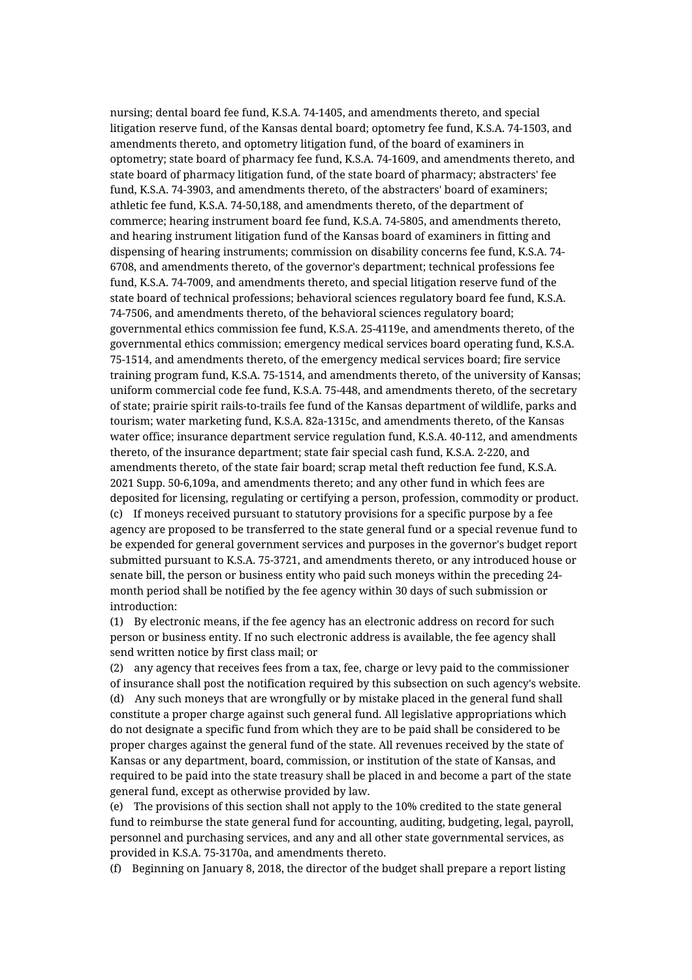nursing; dental board fee fund, K.S.A. 74-1405, and amendments thereto, and special litigation reserve fund, of the Kansas dental board; optometry fee fund, K.S.A. 74-1503, and amendments thereto, and optometry litigation fund, of the board of examiners in optometry; state board of pharmacy fee fund, K.S.A. 74-1609, and amendments thereto, and state board of pharmacy litigation fund, of the state board of pharmacy; abstracters' fee fund, K.S.A. 74-3903, and amendments thereto, of the abstracters' board of examiners; athletic fee fund, K.S.A. 74-50,188, and amendments thereto, of the department of commerce; hearing instrument board fee fund, K.S.A. 74-5805, and amendments thereto, and hearing instrument litigation fund of the Kansas board of examiners in fitting and dispensing of hearing instruments; commission on disability concerns fee fund, K.S.A. 74- 6708, and amendments thereto, of the governor's department; technical professions fee fund, K.S.A. 74-7009, and amendments thereto, and special litigation reserve fund of the state board of technical professions; behavioral sciences regulatory board fee fund, K.S.A. 74-7506, and amendments thereto, of the behavioral sciences regulatory board; governmental ethics commission fee fund, K.S.A. 25-4119e, and amendments thereto, of the governmental ethics commission; emergency medical services board operating fund, K.S.A. 75-1514, and amendments thereto, of the emergency medical services board; fire service training program fund, K.S.A. 75-1514, and amendments thereto, of the university of Kansas; uniform commercial code fee fund, K.S.A. 75-448, and amendments thereto, of the secretary of state; prairie spirit rails-to-trails fee fund of the Kansas department of wildlife, parks and tourism; water marketing fund, K.S.A. 82a-1315c, and amendments thereto, of the Kansas water office; insurance department service regulation fund, K.S.A. 40-112, and amendments thereto, of the insurance department; state fair special cash fund, K.S.A. 2-220, and amendments thereto, of the state fair board; scrap metal theft reduction fee fund, K.S.A. 2021 Supp. 50-6,109a, and amendments thereto; and any other fund in which fees are deposited for licensing, regulating or certifying a person, profession, commodity or product. (c) If moneys received pursuant to statutory provisions for a specific purpose by a fee agency are proposed to be transferred to the state general fund or a special revenue fund to be expended for general government services and purposes in the governor's budget report submitted pursuant to K.S.A. 75-3721, and amendments thereto, or any introduced house or senate bill, the person or business entity who paid such moneys within the preceding 24 month period shall be notified by the fee agency within 30 days of such submission or introduction:

(1) By electronic means, if the fee agency has an electronic address on record for such person or business entity. If no such electronic address is available, the fee agency shall send written notice by first class mail; or

(2) any agency that receives fees from a tax, fee, charge or levy paid to the commissioner of insurance shall post the notification required by this subsection on such agency's website. (d) Any such moneys that are wrongfully or by mistake placed in the general fund shall constitute a proper charge against such general fund. All legislative appropriations which do not designate a specific fund from which they are to be paid shall be considered to be proper charges against the general fund of the state. All revenues received by the state of Kansas or any department, board, commission, or institution of the state of Kansas, and required to be paid into the state treasury shall be placed in and become a part of the state general fund, except as otherwise provided by law.

(e) The provisions of this section shall not apply to the 10% credited to the state general fund to reimburse the state general fund for accounting, auditing, budgeting, legal, payroll, personnel and purchasing services, and any and all other state governmental services, as provided in K.S.A. 75-3170a, and amendments thereto.

(f) Beginning on January 8, 2018, the director of the budget shall prepare a report listing